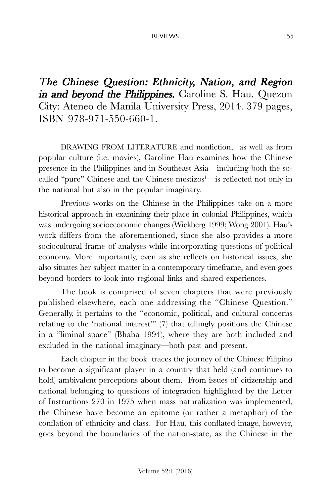The Chinese Question: Ethnicity, Nation, and Region in and beyond the Philippines. Caroline S. Hau. Quezon City: Ateneo de Manila University Press, 2014. 379 pages, ISBN 978-971-550-660-1.

DRAWING FROM LITERATURE and nonfiction, as well as from popular culture (i.e. movies), Caroline Hau examines how the Chinese presence in the Philippines and in Southeast Asia—including both the socalled "pure" Chinese and the Chinese mestizos $\frac{1}{1}$  is reflected not only in the national but also in the popular imaginary.

Previous works on the Chinese in the Philippines take on a more historical approach in examining their place in colonial Philippines, which was undergoing socioeconomic changes (Wickberg 1999; Wong 2001). Hau's work differs from the aforementioned, since she also provides a more sociocultural frame of analyses while incorporating questions of political economy. More importantly, even as she reflects on historical issues, she also situates her subject matter in a contemporary timeframe, and even goes beyond borders to look into regional links and shared experiences.

The book is comprised of seven chapters that were previously published elsewhere, each one addressing the "Chinese Question." Generally, it pertains to the "economic, political, and cultural concerns relating to the 'national interest'" (7) that tellingly positions the Chinese in a "liminal space" (Bhaba 1994), where they are both included and excluded in the national imaginary—both past and present.

Each chapter in the book traces the journey of the Chinese Filipino to become a significant player in a country that held (and continues to hold) ambivalent perceptions about them. From issues of citizenship and national belonging to questions of integration highlighted by the Letter of Instructions 270 in 1975 when mass naturalization was implemented, the Chinese have become an epitome (or rather a metaphor) of the conflation of ethnicity and class. For Hau, this conflated image, however, goes beyond the boundaries of the nation-state, as the Chinese in the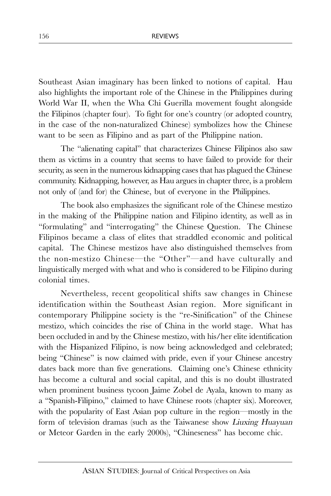Southeast Asian imaginary has been linked to notions of capital. Hau also highlights the important role of the Chinese in the Philippines during World War II, when the Wha Chi Guerilla movement fought alongside the Filipinos (chapter four). To fight for one's country (or adopted country, in the case of the non-naturalized Chinese) symbolizes how the Chinese want to be seen as Filipino and as part of the Philippine nation.

The "alienating capital" that characterizes Chinese Filipinos also saw them as victims in a country that seems to have failed to provide for their security, as seen in the numerous kidnapping cases that has plagued the Chinese community. Kidnapping, however, as Hau argues in chapter three, is a problem not only of (and for) the Chinese, but of everyone in the Philippines.

The book also emphasizes the significant role of the Chinese mestizo in the making of the Philippine nation and Filipino identity, as well as in "formulating" and "interrogating" the Chinese Question. The Chinese Filipinos became a class of elites that straddled economic and political capital. The Chinese mestizos have also distinguished themselves from the non-mestizo Chinese—the "Other"—and have culturally and linguistically merged with what and who is considered to be Filipino during colonial times.

Nevertheless, recent geopolitical shifts saw changes in Chinese identification within the Southeast Asian region. More significant in contemporary Philippine society is the "re-Sinification" of the Chinese mestizo, which coincides the rise of China in the world stage. What has been occluded in and by the Chinese mestizo, with his/her elite identification with the Hispanized Filipino, is now being acknowledged and celebrated; being "Chinese" is now claimed with pride, even if your Chinese ancestry dates back more than five generations. Claiming one's Chinese ethnicity has become a cultural and social capital, and this is no doubt illustrated when prominent business tycoon Jaime Zobel de Ayala, known to many as a "Spanish-Filipino," claimed to have Chinese roots (chapter six). Moreover, with the popularity of East Asian pop culture in the region—mostly in the form of television dramas (such as the Taiwanese show Liuxing Huayuan or Meteor Garden in the early 2000s), "Chineseness" has become chic.